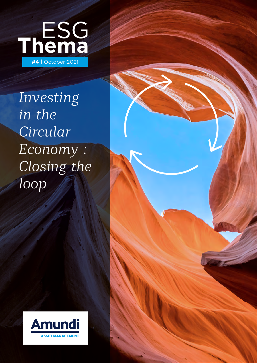

*Investing in the Circular Economy : Closing the loop*



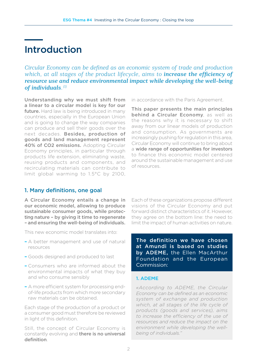# Introduction

*Circular Economy can be defined as an economic system of trade and production*  which, at all stages of the product lifecycle, aims to *increase the efficiency of resource use and reduce environmental impact while developing the well-being of individuals.(1)*

Understanding why we must shift from a linear to a circular model is key for our **future.** Hard law is being introduced in many countries, especially in the European Union and is going to change the way companies can produce and sell their goods over the next decades. Besides, production of goods and land management represent 40% of CO2 emissions. Adopting Circular Economy principles, in particular through products life extension, eliminating waste, reusing products and components, and recirculating materials can contribute to limit global warming to 1.5°C by 2100,

in accordance with the Paris Agreement.

This paper presents the main principles behind a Circular Economy, as well as the reasons why it is necessary to shift away from our linear models of production and consumption. As governments are increasingly pushing for regulation in this area, Circular Economy will continue to bring about a wide range of opportunities for investors to finance this economic model centered around the sustainable management and use of resources.

# 1. Many definitions, one goal

A Circular Economy entails a change in our economic model, allowing to produce sustainable consumer goods, while protecting nature – by giving it time to regenerate – and ensuring the well-being of individuals.

This new economic model translates into:

- **–** A better management and use of natural resources
- **–** Goods designed and produced to last
- **–** Consumers who are informed about the environmental impacts of what they buy and who consume sensibly
- **–** A more efficient system for processing endof-life products from which more secondary raw materials can be obtained.

Each stage of the production of a product or a consumer good must therefore be reviewed in light of this definition.

Still, the concept of Circular Economy is constantly evolving and there is no universal definition.

Each of these organizations propose different visions of the Circular Economy and put forward distinct characteristics of it. However, they agree on the bottom line: the need to limit the impact of human activities on nature.

The definition we have chosen at Amundi is based on studies by ADEME, the Ellen MacArthur Foundation and the European Commission:

## 1. ADEME

*«According to ADEME, the Circular Economy can be defined as an economic system of exchange and production which, at all stages of the life cycle of products (goods and services), aims to increase the efficiency of the use of resources and reduce the impact on the environment while developing the wellbeing of individuals."*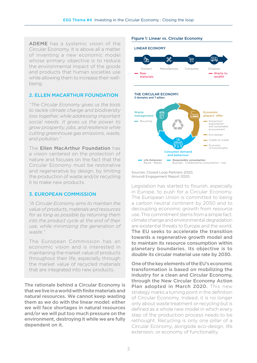ADEME has a systemic vision of the Circular Economy. It is above all a matter of inventing a new economic model whose primary objective is to reduce the environmental impact of the goods and products that human societies use while allowing them to increase their wellbeing.

### 2. ELLEN MACARTHUR FOUNDATION

*"The Circular Economy gives us the tools to tackle climate change and biodiversity loss together, while addressing important social needs. It gives us the power to grow prosperity, jobs, and resilience while cutting greenhouse gas emissions, waste, and pollution."*

The Ellen MacArthur Foundation has a vision centered on the protection of nature and focuses on the fact that the Circular Economy must be restorative and regenerative by design, by limiting the production of waste and/or recycling it to make new products.

## 3. EUROPEAN COMMISSION

*"A Circular Economy aims to maintain the value of products, materials and resources for as long as possible by returning them into the product cycle at the end of their use, while minimizing the generation of waste."*

The European Commission has an economic vision and is interested in maintaining the market value of products throughout their life, especially through the market value of recycled materials that are integrated into new products.

The rationale behind a Circular Economy is that we live in a world with finite materials and natural resources. We cannot keep wasting them as we do with the linear model: either we will face shortages in natural resources and/or we will put too much pressure on the environment, destroying it while we are fully dependent on it.

### Figure 1: Linear vs. Circular Economy



Sources: Closed Loop Partners 2020, Amundi Engagement Report 2020.

Legislation has started to flourish, especially in Europe, to push for a Circular Economy. The European Union is committed to being a carbon neutral continent by 2050 and to decoupling economic growth from resource use. This commitment stems from a simple fact: climate change and environmental degradation are existential threats to Europe and the world. The EU seeks to accelerate the transition towards a regenerative growth model and to maintain its resource consumption within planetary boundaries. Its objective is to double its circular material use rate by 2030.

One of the key elements of the EU's economic transformation is based on mobilizing the industry for a clean and Circular Economy, through the New Circular Economy Action Plan adopted in March 2020. This new strategy marks a turning point in the definition of Circular Economy. Indeed, it is no longer only about waste treatment or recycling but is defined as a whole new model in which every step of the production process needs to be rethought. Recycling is only one pillar of a Circular Economy, alongside eco-design, life extension, or economy of functionality.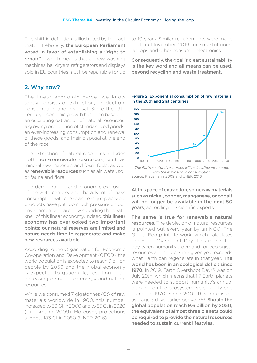This shift in definition is illustrated by the fact that, in February, the European Parliament voted in favor of establishing a "right to repair" - which means that all new washing machines, hairdryers, refrigerators and displays sold in EU countries must be repairable for up

# 2. Why now?

The linear economic model we know today consists of extraction, production, consumption and disposal. Since the 19th century, economic growth has been based on an escalating extraction of natural resources, a growing production of standardized goods, an ever-increasing consumption and renewal of these goods, and their disposal at the end of the race.

The extraction of natural resources includes both non-renewable resources, such as mineral raw materials and fossil fuels, as well as renewable resources such as air, water, soil or fauna and flora.

The demographic and economic explosion of the 20th century and the advent of mass consumption with cheap and easily replaceable products have put too much pressure on our environment and are now sounding the death knell of this linear economy. Indeed, this linear economy has overlooked two important points: our natural reserves are limited and nature needs time to regenerate and make new resources available.

According to the Organization for Economic Co-operation and Development (OECD), the world population is expected to reach 9 billion people by 2050 and the global economy is expected to quadruple, resulting in an increasing demand for energy and natural resources.

While we consumed 7 gigatonnes (Gt) of raw materials worldwide in 1900, this number increased to 50 Gt in 2000 and to 85 Gt in 2020 (Krausmann, 2009). Moreover, projections suggest 183 Gt in 2050 (UNEP, 2016).

to 10 years. Similar requirements were made back in November 2019 for smartphones, laptops and other consumer electronics.

Consequently, the goal is clear: sustainability is the key word and all means can be used, beyond recycling and waste treatment.





*The Earth's natural resources will be insufficient to cope with the explosion in consumption.* Source: Krausmann, 2009 and UNEP, 2016.

At this pace of extraction, some raw materials such as nickel, copper, manganese, or cobalt will no longer be available in the next 50 years, according to scientific experts.

The same is true for renewable natural resources. The depletion of natural resources is pointed out every year by an NGO, The Global Footprint Network, which calculates the Earth Overshoot Day. This marks the day when humanity's demand for ecological resources and services in a given year exceeds what Earth can regenerate in that year. The world has been in an ecological deficit since 1970. In 2019, Earth Overshoot Day<sup>(2)</sup> was on July 29th, which means that 1.7 Earth planets were needed to support humanity's annual demand on the ecosystem, versus only one planet in 1970. Since 2001, this date is on average 3 days earlier per year<sup>(3)</sup>. **Should the** global population reach 9.6 billion by 2050, the equivalent of almost three planets could be required to provide the natural resources needed to sustain current lifestyles.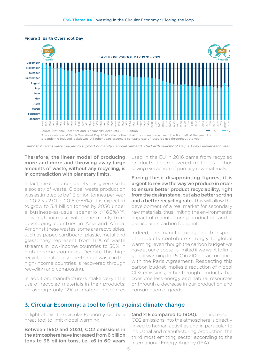

#### Figure 3: Earth Overshoot Day

\*The calculation of Earth Overshoot Day 2020 reflects the initial drop in resource use in the first half of the year due to pandemic-induced lockdowns. All other years assume a constant rate of resource use throughout the year.

*Almost 2 Earths were needed to support humanity's annual demand. The Earth overshoot Day is 3 days earlier each year.*

## Therefore, the linear model of producing more and more and throwing away large amounts of waste, without any recycling, is in contradiction with planetary limits.

In fact, the consumer society has given rise to a society of waste. Global waste production was estimated to be 1.3 billion tonnes per year in 2012 vs 2.01 in 2018 (+55%). It is expected to grow to 3.4 billion tonnes by 2050 under a business-as-usual scenario (+160%) (4). This high increase will come mainly from developing countries in Asia and Africa. Amongst these wastes, some are recyclables, such as paper, cardboard, plastic, metal and glass: they represent from 16% of waste streams in low-income countries to 50% in high-income countries. Despite this high recyclable rate, only one-third of waste in the high-income countries is recovered through recycling and composting.

In addition, manufacturers make very little use of recycled materials in their products: on average only 12% of material resources used in the EU in 2016 came from recycled products and recovered materials – thus saving extraction of primary raw materials.

Facing these disappointing figures, it is urgent to review the way we produce in order to ensure better product recyclability, right from the design stage, but also better sorting and a better recycling rate. This will allow the development of a real market for secondary raw materials, thus limiting the environmental impact of manufacturing production, and in particular its carbon footprint.

Indeed, the manufacturing and transport of products contribute strongly to global warming, even though the carbon budget we have at our disposal is limited if we want to limit global warming to 1.5°C in 2100, in accordance with the Paris Agreement. Respecting this carbon budget implies a reduction of global CO2 emissions, either through products that consume less energy and natural resources or through a decrease in our production and consumption of goods.

## 3. Circular Economy: a tool to fight against climate change

In light of this, the Circular Economy can be a great tool to limit global warming.

Between 1950 and 2020, CO2 emissions in the atmosphere have increased from 6 billion tons to 36 billion tons, i.e. x6 in 60 years

(and x18 compared to 1900). This increase in CO2 emissions into the atmosphere is directly linked to human activities and in particular to industrial and manufacturing production, the third most emitting sector according to the International Energy Agency (IEA).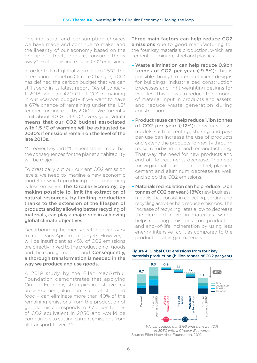The industrial and consumption choices we have made and continue to make, and the linearity of our economy based on the principle "extract, produce, consume, throw away" explain this increase in CO2 emissions.

In order to limit global warming to 1.5°C, the International Panel on Climate Change (IPCC) has defined the carbon budget that we can still spend in its latest report: "As of January 1, 2018, we had 420 Gt of CO2 remaining in our «carbon budget» if we want to have a 67% chance of remaining under the 1.5° temperature increase by 2100".<sup>(5)</sup> We currently emit about 40 Gt of CO2 every year, which means that our CO2 budget associated with 1.5 °C of warming will be exhausted by 2030's if emissions remain on the level of the late 2010s.

Moreover, beyond 2°C, scientists estimate that the consequences for the planet's habitability will be major<sup>(6)</sup>.

To drastically cut our current CO2 emission levels, we need to imagine a new economic model in which producing and consuming is less emissive. The Circular Economy, by making possible to limit the extraction of natural resources, by limiting production thanks to the extension of the lifespan of products and by allowing better recycling of materials, can play a major role in achieving global climate objectives.

Decarbonizing the energy sector is necessary to meet Paris Agreement targets. However, it will be insufficient as 45% of CO2 emissions are directly linked to the production of goods and the management of land. **Consequently**, a thorough transformation is needed in the way we produce and use goods.

A 2019 study by the Ellen MacArthur Foundation demonstrates that applying Circular Economy strategies in just five key areas – cement, aluminum, steel, plastics, and food – can eliminate more than 40% of the remaining emissions from the production of goods. This corresponds to 3.7 billion tonnes of CO2 equivalent in 2050 and would be comparable to cutting current emissions from all transport to zero<sup>(7)</sup>.

Three main factors can help reduce CO2 emissions due to good manufacturing for the four key materials production, which are cement, aluminum, steel and plastics:

- **–** Waste elimination can help reduce 0.9bn tonnes of CO2 per year (-9.6%): this is possible through material efficient designs for buildings, industrialized construction processes and light weighting designs for vehicles. This allows to reduce the amount of material input in products and assets, and reduce waste generation during construction.
- **–** Product reuse can help reduce 1.1bn tonnes of CO2 per vear (-12%): new businessmodels such as renting, sharing and payper-use can increase the use of products and extend the products' longevity through reuse, refurbishment and remanufacturing. That way, the need for new products and end-of-life treatments decrease. The need for virgin materials, such as steel, plastics, cement and aluminum decrease as well, and so do the CO2 emissions.
- **–** Materials recirculation can help reduce 1.7bn tonnes of CO2 per vear (-18%): new businessmodels that consist in collecting, sorting and recycling activities help reduce emissions. The increase of recycling rates allow to decrease the demand in virgin materials, which helps reducing emissions from production and end-of-life incineration by using less energy-intensive facilities compared to the production of virgin materials.



### Figure 4: Global CO2 emissions from four key materials production (billion tonnes of CO2 per year)

*We can reduce our GHG emissions by 40% in 2050 with a Circular Economy.*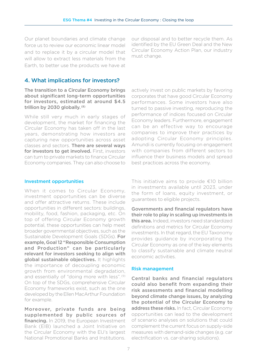Our planet boundaries and climate change force us to review our economic linear model and to replace it by a circular model that will allow to extract less materials from the Earth, to better use the products we have at

our disposal and to better recycle them. As identified by the EU Green Deal and the New Circular Economy Action Plan, our industry must change.

## 4. What implications for investors?

The transition to a Circular Economy brings about significant long-term opportunities for investors, estimated at around \$4.5 trillion by 2030 globally.<sup>(8)</sup>

While still very much in early stages of development, the market for financing the Circular Economy has taken off in the last years, demonstrating how investors are capturing new opportunities across asset classes and sectors. There are several ways for investors to get involved. First, investors can turn to private markets to finance Circular Economy companies. They can also choose to

actively invest on public markets by favoring corporates that have good Circular Economy performances. Some investors have also turned to passive investing, reproducing the performance of indices focused on Circular Economy leaders. Furthermore, engagement can be an effective way to encourage companies to improve their practices by adopting Circular Economy principles. Amundi is currently focusing on engagement with companies from different sectors to influence their business models and spread best practices across the economy.

### Investment opportunities

When it comes to Circular Economy, investment opportunities can be diverse and offer attractive returns. These include opportunities in different sectors: buildings, mobility, food, fashion, packaging, etc. On top of offering Circular Economy growth potential, these opportunities can help meet broader governmental objectives, such as the Sustainable Development Goals (SDGs). For example, Goal 12 "Responsible Consumption and Production" can be particularly relevant for investors seeking to align with global sustainable objectives. It highlights the importance of decoupling economic growth from environmental degradation, and essentially of "doing more with less". (9) On top of the SDGs, comprehensive Circular Economy frameworks exist, such as the one developed by the Ellen MacArthur Foundation for example.

Moreover, private funds are being supplemented by public sources of **financing.** In 2019, the European Investment Bank (EIB) launched a Joint Initiative on the Circular Economy with the EU's largest National Promotional Banks and Institutions. This initiative aims to provide €10 billion in investments available until 2023, under the form of loans, equity investment, or guarantees to eligible projects.

Governments and financial regulators have their role to play in scaling up investments in this area. Indeed, investors need standardized definitions and metrics for Circular Economy investments. In that regard, the EU Taxonomy provides guidance by incorporating the Circular Economy as one of the key elements to classify sustainable and climate neutral economic activities.

### Risk management

Central banks and financial regulators could also benefit from expanding their risk assessments and financial modelling beyond climate change issues, by analyzing the potential of the Circular Economy to address these risks. In fact, Circular Economy opportunities can lead to the development of scenario analyses on solutions that could complement the current focus on supply-side measures with demand-side changes (e.g. car electrification vs. car-sharing solutions).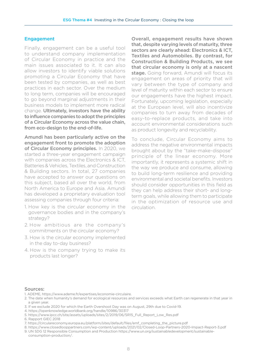### Engagement

Finally, engagement can be a useful tool to understand company implementation of Circular Economy in practice and the main issues associated to it. It can also allow investors to identify viable solutions promoting a Circular Economy that have been tested by companies, as well as best practices in each sector. Over the medium to long term, companies will be encouraged to go beyond marginal adjustments in their business models to implement more radical change. Ultimately, investors have the ability to influence companies to adopt the principles of a Circular Economy across the value chain, from eco-design to the end-of-life.

Amundi has been particularly active on the engagement front to promote the adoption of Circular Economy principles. In 2020, we started a three-year engagement campaign with companies across the Electronics & ICT, Batteries & Vehicles, Textiles, and Construction & Building sectors. In total, 27 companies have accepted to answer our questions on this subject, based all over the world, from North America to Europe and Asia. Amundi has developed a proprietary evaluation tool assessing companies through four criteria:

- 1. How key is the circular economy in the governance bodies and in the company's strategy?
- 2. How ambitious are the company's commitments on the circular economy?
- 3. How is the circular economy implemented in the day to-day business?
- 4. How is the company trying to make its products last longer?

Overall, engagement results have shown that, despite varying levels of maturity, three sectors are clearly ahead: Electronics & ICT, Textiles and Automobiles. By contrast, for Construction & Building Products, we see that circular economy is only at a nascent stage. Going forward, Amundi will focus its engagement on areas of priority that will vary between the type of company and level of maturity within each sector to ensure our engagements have the highest impact. Fortunately, upcoming legislation, especially at the European level, will also incentivize companies to turn away from decades of easy-to-replace products, and take into account environmental considerations such as product longevity and recyclability.

To conclude, Circular Economy aims to address the negative environmental impacts brought about by the "take-make-dispose" principle of the linear economy. More importantly, it represents a systemic shift in the way we produce and consume, allowing to build long-term resilience and providing environmental and societal benefits. Investors should consider opportunities in this field as they can help address their short- and longterm goals, while allowing them to participate in the optimization of resource use and circulation.

### Sources:

1. ADEME, https://www.ademe.fr/expertises/economie-circulaire.

- 3. If we exclude 2020 for which the Earth Overshoot Day was on August, 29th due to Covid-19.
- 4. https://openknowledge.worldbank.org/handle/10986/30317
- 5. https://www.ipcc.ch/site/assets/uploads/sites/2/2019/06/SR15\_Full\_Report\_Low\_Res.pdf
- 6. Rapport GIEC 2018

8. https://www.closedlooppartners.com/wp-content/uploads/2021/02/Closed-Loop-Partners-2020-Impact-Report-3.pdf 9. UN SDG 12 Responsible Consumption and Production https://www.un.org/sustainabledevelopment/sustainable-

<sup>2.</sup> The date when humanity's demand for ecological resources and services exceeds what Earth can regenerate in that year in a given year.

<sup>7.</sup> https://circulareconomy.europa.eu/platform/sites/default/files/emf\_completing\_the\_picture.pdf

consumption-production/.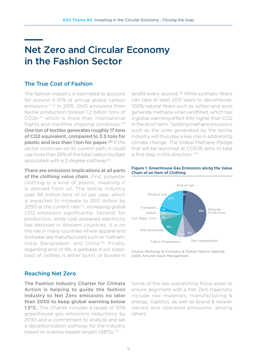# Net Zero and Circular Economy in the Fashion Sector

## The True Cost of Fashion

The fashion industry is estimated to account for around 4-10% of annual global carbon emissions.<sup>(1, 2)</sup> In 2015, GHG emissions from textile production totaled 1.2 billion tons of CO2e (3) which is more than international flights and maritime shipping combined. (4) One ton of textiles generates roughly 17 tons of CO2 equivalent, compared to 3.5 tons for plastic and less than 1 ton for paper. (5) If the sector continues on its current path, it could use more than 26% of the total carbon budget associated with a 2-degree pathway (6).

There are emissions implications at all parts of the clothing value chain. First, polyester clothing is a kind of plastic, meaning it is derived from oil. The textile industry uses 98 million tons of oil per year, which is expected to increase to 300 million by 2050 at the current rate $(7)$ , increasing global CO2 emissions significantly. Second, for production, while coal-powered electricity has declined in Western countries, it is on the rise in many countries where apparel and footwear are manufactured such as Vietnam, India, Bangladesh, and China (8). Finally, regarding end of life, a garbage truck sizedload of clothes is either burnt or buried in landfill every second. (9) While synthetic fibers can take at least 200 years to decompose, 100% natural fibers such as cotton and wool generate methane when landfilled, which has a global warming effect 84x higher than CO2 in the short term. Tackling methane emissions such as the ones generated by the textile industry will thus play a key role in addressing climate change. The Global Methane Pledge that will be launched at COP26 aims to take a first step in this direction. (10)



### Figure 1: Greenhouse Gas Emissions along the Value Chain of an Item of Clothing

Source: McKinsey & Company & Global Fashion Agenda, 2020; Amundi Asset Management.

## Reaching Net Zero

The Fashion Industry Charter for Climate Action is helping to guide the fashion industry to Net Zero emissions no later than 2050 to keep global warming below 1.5°C. This Charter includes a target of 30% greenhouse gas emissions reductions by 2030 and a commitment to analyze and set a decarbonization pathway for the industry based on science-based targets (SBTs).<sup>(11)</sup>

Some of the key overarching focus areas to ensure alignment with a Net Zero trajectory include raw materials, manufacturing & energy, logistics, as well as brand & retailer owned and operated emissions, among others.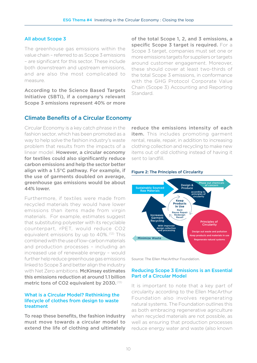### All about Scope 3

The greenhouse gas emissions within the value chain – referred to as Scope 3 emissions – are significant for this sector. These include both downstream and upstream emissions, and are also the most complicated to measure.

According to the Science Based Targets Initiative (SBTi), if a company's relevant Scope 3 emissions represent 40% or more

of the total Scope 1, 2, and 3 emissions, a specific Scope 3 target is required. For a Scope 3 target, companies must set one or more emissions targets for suppliers or targets around customer engagement. Moreover, these should cover at least two-thirds of the total Scope 3 emissions, in conformance with the GHG Protocol Corporate Value Chain (Scope 3) Accounting and Reporting Standard.

## Climate Benefits of a Circular Economy

Circular Economy is a key catch phrase in the fashion sector, which has been promoted as a way to help solve the fashion industry's waste problem that results from the impacts of a linear model. However, a circular economy for textiles could also significantly reduce carbon emissions and help the sector better align with a 1.5°C pathway. For example, if the use of garments doubled on average, greenhouse gas emissions would be about 44% lower.

Furthermore, if textiles were made from recycled materials they would have lower emissions than items made from virgin materials. For example, estimates suggest that substituting polyester with its recyclable counterpart, rPET, would reduce CO2 equivalent emissions by up to 40%. (12) This combined with the use of low-carbon materials and production processes – including an increased use of renewable energy – would further help reduce greenhouse gas emissions linked to Scope 3 and better align the industry with Net Zero ambitions. McKinsey estimates this emissions reduction at around 1.1 billion metric tons of CO2 equivalent by 2030. (13)

## What is a Circular Model? Rethinking the lifecycle of clothes from design to waste treatment

To reap these benefits, the fashion industry must move towards a circular model to extend the life of clothing and ultimately reduce the emissions intensity of each item. This includes promoting garment rental, resale, repair, in addition to increasing clothing collection and recycling to make new items out of old clothing instead of having it sent to landfill.



### Figure 2: The Principles of Circularity

Source: The Ellen MacArthur Foundation.

### Reducing Scope 3 Emissions is an Essential Part of a Circular Model

It is important to note that a key part of circularity according to the Ellen MacArthur Foundation also involves regenerating natural systems. The Foundation outlines this as both embracing regenerative agriculture when recycled materials are not possible, as well as ensuring that production processes reduce energy water and waste (also known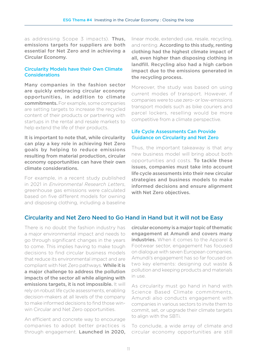as addressing Scope 3 impacts). Thus, emissions targets for suppliers are both essential for Net Zero and in achieving a Circular Economy.

### Circularity Models have their Own Climate Considerations

Many companies in the fashion sector are quickly embracing circular economy opportunities, in addition to climate commitments. For example, some companies are setting targets to increase the recycled content of their products or partnering with startups in the rental and resale markets to help extend the life of their products.

It is important to note that, while circularity can play a key role in achieving Net Zero goals by helping to reduce emissions resulting from material production, circular economy opportunities can have their own climate considerations.

For example, in a recent study published in 2021 in *Environmental Research Letters*, greenhouse gas emissions were calculated based on five different models for owning and disposing clothing, including a baseline

linear mode, extended use, resale, recycling, and renting. According to this study, renting clothing had the highest climate impact of all, even higher than disposing clothing in landfill. Recycling also had a high carbon impact due to the emissions generated in the recycling process.

Moreover, the study was based on using current modes of transport. However, if companies were to use zero- or low-emissions transport models such as bike couriers and parcel lockers, reselling would be more competitive from a climate perspective.

## Life Cycle Assessments Can Provide Guidance on Circularity and Net Zero

Thus, the important takeaway is that any new business model will bring about both opportunities and costs. To tackle these issues, companies must take into account life cycle assessments into their new circular strategies and business models to make informed decisions and ensure alignment with Net Zero objectives.

## Circularity and Net Zero Need to Go Hand in Hand but it will not be Easy

There is no doubt the fashion industry has a major environmental impact and needs to go through significant changes in the years to come. This implies having to make tough decisions to find circular business models that reduce its environmental impact and are compliant with Net Zero pathways. While it is a major challenge to address the pollution impacts of the sector all while aligning with emissions targets, it is not impossible. It will rely on robust life cycle assessments, enabling decision-makers at all levels of the company to make informed decisions to find those winwin Circular and Net Zero opportunities.

An efficient and concrete way to encourage companies to adopt better practices is through engagement. Launched in 2020,

circular economy is a major topic of thematic engagement at Amundi and covers many industries. When it comes to the Apparel & Footwear sector, engagement has focused on dialogue with seven European companies. Amundi's engagement has so far focused on two key elements: designing out waste & pollution and keeping products and materials in use.

As circularity must go hand in hand with Science Based Climate commitments, Amundi also conducts engagement with companies in various sectors to invite them to commit, set, or upgrade their climate targets to align with the SBTi.

To conclude, a wide array of climate and circular economy opportunities are still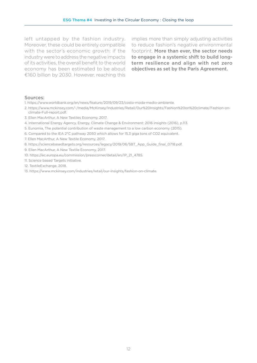left untapped by the fashion industry. Moreover, these could be entirely compatible with the sector's economic growth: if the industry were to address the negative impacts of its activities, the overall benefit to the world economy has been estimated to be about €160 billion by 2030. However, reaching this

implies more than simply adjusting activities to reduce fashion's negative environmental footprint. More than ever, the sector needs to engage in a systemic shift to build longterm resilience and align with net zero objectives as set by the Paris Agreement.

### Sources:

- 1. https://www.worldbank.org/en/news/feature/2019/09/23/costo-moda-medio-ambiente.
- 2. https://www.mckinsey.com/~/media/McKinsey/Industries/Retail/Our%20Insights/Fashion%20on%20climate/Fashion-onclimate-Full-report.pdf.
- 3. Ellen MacArthur, A New Textiles Economy, 2017.
- 4. International Energy Agency, Energy, Climate Change & Environment: 2016 insights (2016), p.113.
- 5. Eunomia, The potential contribution of waste management to a low carbon economy (2015).
- 6. Compared to the IEA 2°C pathway 2050 which allows for 15.3 giga tons of CO2 equivalent.
- 7. Ellen MacArthur, A New Textile Economy, 2017.
- 8. https://sciencebasedtargets.org/resources/legacy/2019/06/SBT\_App\_Guide\_final\_0718.pdf.
- 9. Ellen MacArthur, A New Textile Economy, 2017.
- 10. https://ec.europa.eu/commission/presscorner/detail/en/IP\_21\_4785.
- 11. Science based Targets initiative.
- 12. TextileExchange, 2018.
- 13. https://www.mckinsey.com/industries/retail/our-insights/fashion-on-climate.